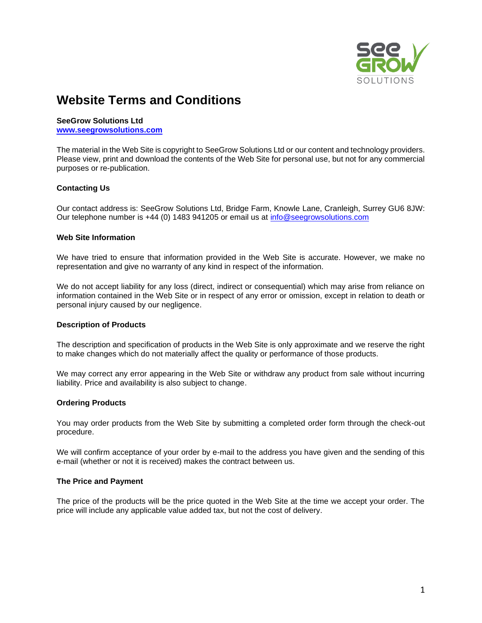

# **Website Terms and Conditions**

## **SeeGrow Solutions Ltd**

**[www.seegrowsolutions.com](http://www.seegrowsolutions.com/)**

The material in the Web Site is copyright to SeeGrow Solutions Ltd or our content and technology providers. Please view, print and download the contents of the Web Site for personal use, but not for any commercial purposes or re-publication.

# **Contacting Us**

Our contact address is: SeeGrow Solutions Ltd, Bridge Farm, Knowle Lane, Cranleigh, Surrey GU6 8JW: Our telephone number is +44 (0) 1483 941205 or email us at [info@seegrowsolutions.com](mailto:info@seegrowsolutions.com)

#### **Web Site Information**

We have tried to ensure that information provided in the Web Site is accurate. However, we make no representation and give no warranty of any kind in respect of the information.

We do not accept liability for any loss (direct, indirect or consequential) which may arise from reliance on information contained in the Web Site or in respect of any error or omission, except in relation to death or personal injury caused by our negligence.

# **Description of Products**

The description and specification of products in the Web Site is only approximate and we reserve the right to make changes which do not materially affect the quality or performance of those products.

We may correct any error appearing in the Web Site or withdraw any product from sale without incurring liability. Price and availability is also subject to change.

## **Ordering Products**

You may order products from the Web Site by submitting a completed order form through the check-out procedure.

We will confirm acceptance of your order by e-mail to the address you have given and the sending of this e-mail (whether or not it is received) makes the contract between us.

## **The Price and Payment**

The price of the products will be the price quoted in the Web Site at the time we accept your order. The price will include any applicable value added tax, but not the cost of delivery.